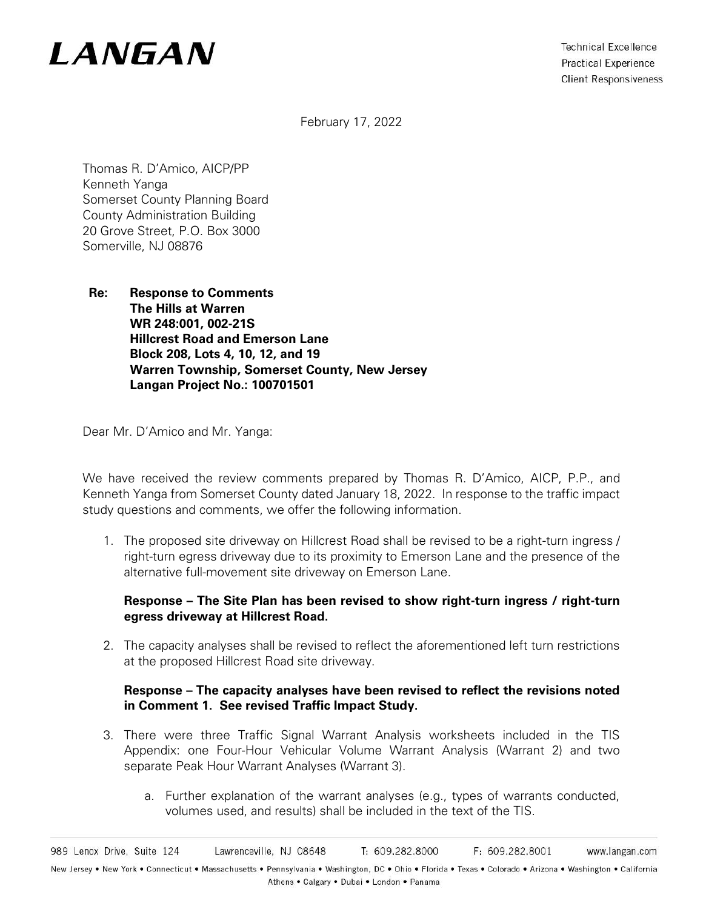

February 17, 2022

Thomas R. D'Amico, AICP/PP Kenneth Yanga Somerset County Planning Board County Administration Building 20 Grove Street, P.O. Box 3000 Somerville, NJ 08876

**Re: Response to Comments The Hills at Warren WR 248:001, 002-21S Hillcrest Road and Emerson Lane Block 208, Lots 4, 10, 12, and 19 Warren Township, Somerset County, New Jersey Langan Project No.: 100701501**

Dear Mr. D'Amico and Mr. Yanga:

We have received the review comments prepared by Thomas R. D'Amico, AICP, P.P., and Kenneth Yanga from Somerset County dated January 18, 2022. In response to the traffic impact study questions and comments, we offer the following information.

1. The proposed site driveway on Hillcrest Road shall be revised to be a right-turn ingress / right-turn egress driveway due to its proximity to Emerson Lane and the presence of the alternative full-movement site driveway on Emerson Lane.

### **Response – The Site Plan has been revised to show right-turn ingress / right-turn egress driveway at Hillcrest Road.**

2. The capacity analyses shall be revised to reflect the aforementioned left turn restrictions at the proposed Hillcrest Road site driveway.

### **Response – The capacity analyses have been revised to reflect the revisions noted in Comment 1. See revised Traffic Impact Study.**

- 3. There were three Traffic Signal Warrant Analysis worksheets included in the TIS Appendix: one Four-Hour Vehicular Volume Warrant Analysis (Warrant 2) and two separate Peak Hour Warrant Analyses (Warrant 3).
	- a. Further explanation of the warrant analyses (e.g., types of warrants conducted, volumes used, and results) shall be included in the text of the TIS.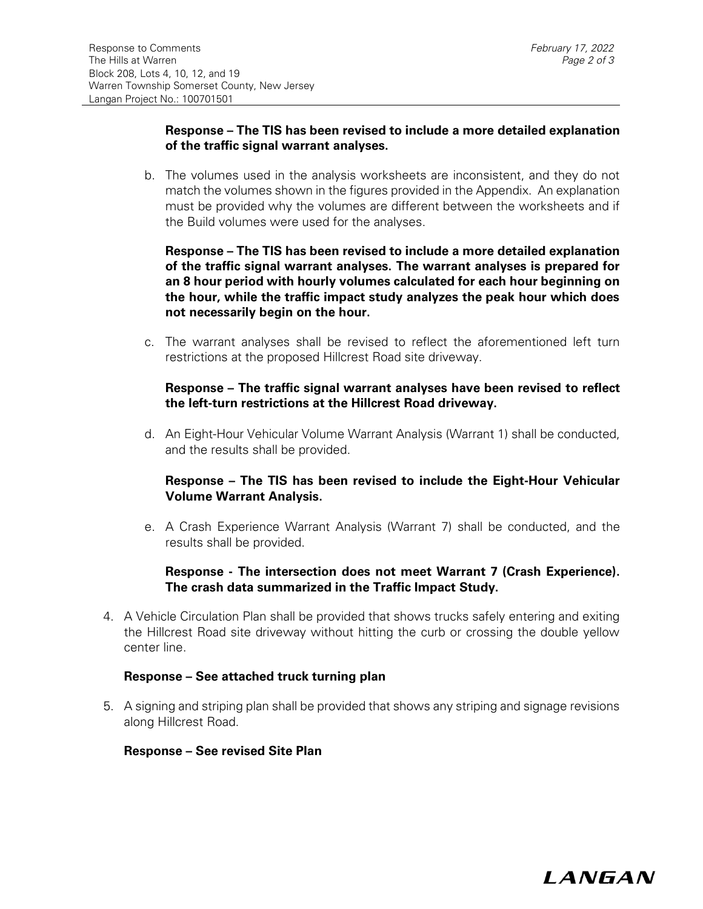#### **Response – The TIS has been revised to include a more detailed explanation of the traffic signal warrant analyses.**

b. The volumes used in the analysis worksheets are inconsistent, and they do not match the volumes shown in the figures provided in the Appendix. An explanation must be provided why the volumes are different between the worksheets and if the Build volumes were used for the analyses.

### **Response – The TIS has been revised to include a more detailed explanation of the traffic signal warrant analyses. The warrant analyses is prepared for an 8 hour period with hourly volumes calculated for each hour beginning on the hour, while the traffic impact study analyzes the peak hour which does not necessarily begin on the hour.**

c. The warrant analyses shall be revised to reflect the aforementioned left turn restrictions at the proposed Hillcrest Road site driveway.

# **Response – The traffic signal warrant analyses have been revised to reflect the left-turn restrictions at the Hillcrest Road driveway.**

d. An Eight-Hour Vehicular Volume Warrant Analysis (Warrant 1) shall be conducted, and the results shall be provided.

### **Response – The TIS has been revised to include the Eight-Hour Vehicular Volume Warrant Analysis.**

e. A Crash Experience Warrant Analysis (Warrant 7) shall be conducted, and the results shall be provided.

# **Response - The intersection does not meet Warrant 7 (Crash Experience). The crash data summarized in the Traffic Impact Study.**

4. A Vehicle Circulation Plan shall be provided that shows trucks safely entering and exiting the Hillcrest Road site driveway without hitting the curb or crossing the double yellow center line.

### **Response – See attached truck turning plan**

5. A signing and striping plan shall be provided that shows any striping and signage revisions along Hillcrest Road.

### **Response – See revised Site Plan**